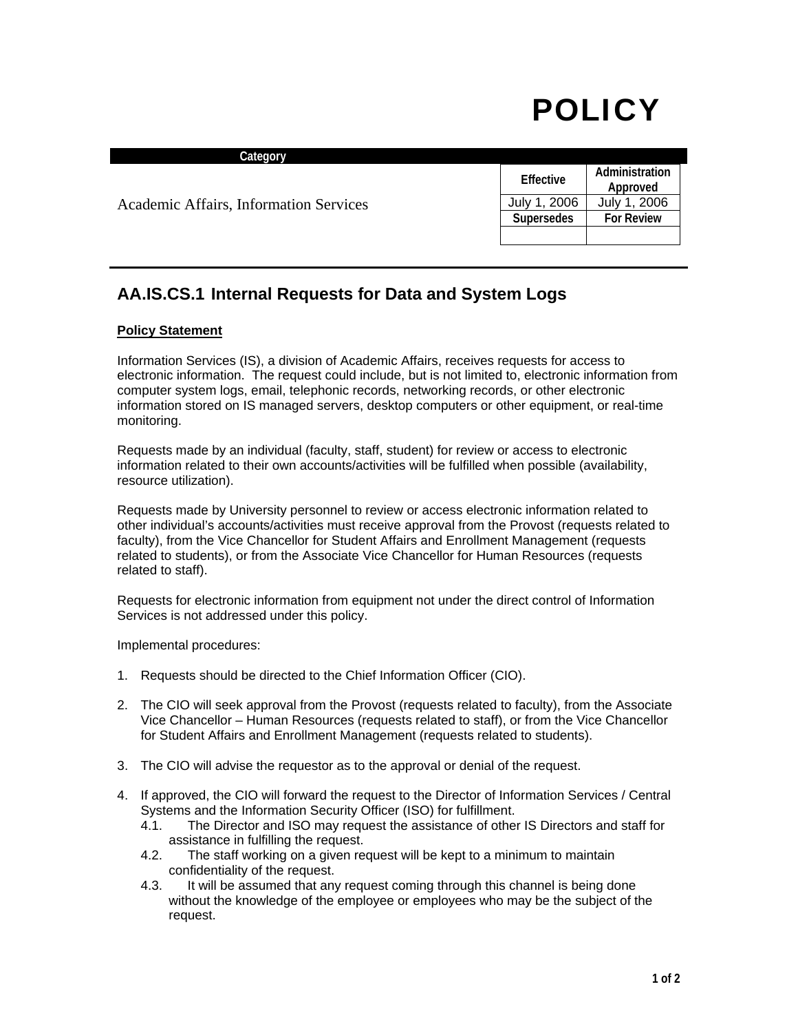## POLICY

| Category                               |                   |                            |
|----------------------------------------|-------------------|----------------------------|
| Academic Affairs, Information Services | Effective         | Administration<br>Approved |
|                                        | July 1, 2006      | July 1, 2006               |
|                                        | <b>Supersedes</b> | <b>For Review</b>          |
|                                        |                   |                            |

## **AA.IS.CS.1 Internal Requests for Data and System Logs**

## **Policy Statement**

Information Services (IS), a division of Academic Affairs, receives requests for access to electronic information. The request could include, but is not limited to, electronic information from computer system logs, email, telephonic records, networking records, or other electronic information stored on IS managed servers, desktop computers or other equipment, or real-time monitoring.

Requests made by an individual (faculty, staff, student) for review or access to electronic information related to their own accounts/activities will be fulfilled when possible (availability, resource utilization).

Requests made by University personnel to review or access electronic information related to other individual's accounts/activities must receive approval from the Provost (requests related to faculty), from the Vice Chancellor for Student Affairs and Enrollment Management (requests related to students), or from the Associate Vice Chancellor for Human Resources (requests related to staff).

Requests for electronic information from equipment not under the direct control of Information Services is not addressed under this policy.

Implemental procedures:

- 1. Requests should be directed to the Chief Information Officer (CIO).
- 2. The CIO will seek approval from the Provost (requests related to faculty), from the Associate Vice Chancellor – Human Resources (requests related to staff), or from the Vice Chancellor for Student Affairs and Enrollment Management (requests related to students).
- 3. The CIO will advise the requestor as to the approval or denial of the request.
- 4. If approved, the CIO will forward the request to the Director of Information Services / Central Systems and the Information Security Officer (ISO) for fulfillment.
	- 4.1. The Director and ISO may request the assistance of other IS Directors and staff for assistance in fulfilling the request.
	- 4.2. The staff working on a given request will be kept to a minimum to maintain confidentiality of the request.
	- 4.3. It will be assumed that any request coming through this channel is being done without the knowledge of the employee or employees who may be the subject of the request.